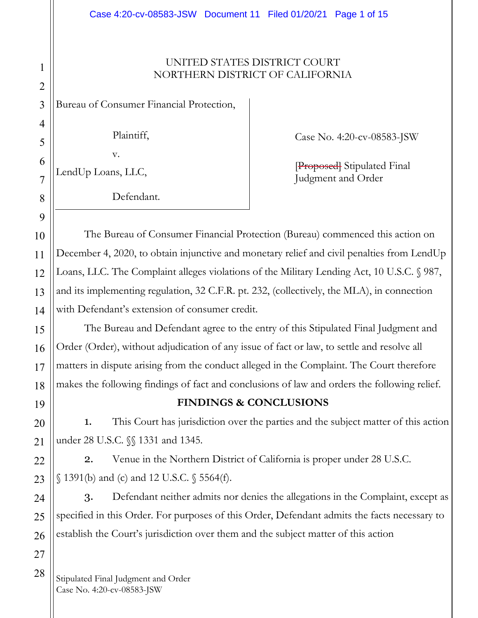#### UNITED STATES DISTRICT COURT NORTHERN DISTRICT OF CALIFORNIA

Bureau of Consumer Financial Protection,

Plaintiff,

Case No. 4:20-cv-08583-JSW

LendUp Loans, LLC,

v.

Defendant.

[Proposed] Stipulated Final Judgment and Order

The Bureau of Consumer Financial Protection (Bureau) commenced this action on December 4, 2020, to obtain injunctive and monetary relief and civil penalties from LendUp Loans, LLC. The Complaint alleges violations of the Military Lending Act, 10 U.S.C. § 987, and its implementing regulation, 32 C.F.R. pt. 232, (collectively, the MLA), in connection with Defendant's extension of consumer credit.

The Bureau and Defendant agree to the entry of this Stipulated Final Judgment and Order (Order), without adjudication of any issue of fact or law, to settle and resolve all matters in dispute arising from the conduct alleged in the Complaint. The Court therefore makes the following findings of fact and conclusions of law and orders the following relief.

# **FINDINGS & CONCLUSIONS**

1. This Court has jurisdiction over the parties and the subject matter of this action under 28 U.S.C. *\\\$* 1331 and 1345.

2. Venue in the Northern District of California is proper under 28 U.S.C. § 1391(b) and (c) and 12 U.S.C. § 5564(f).

3. Defendant neither admits nor denies the allegations in the Complaint, except as specified in this Order. For purposes of this Order, Defendant admits the facts necessary to establish the Court's jurisdiction over them and the subject matter of this action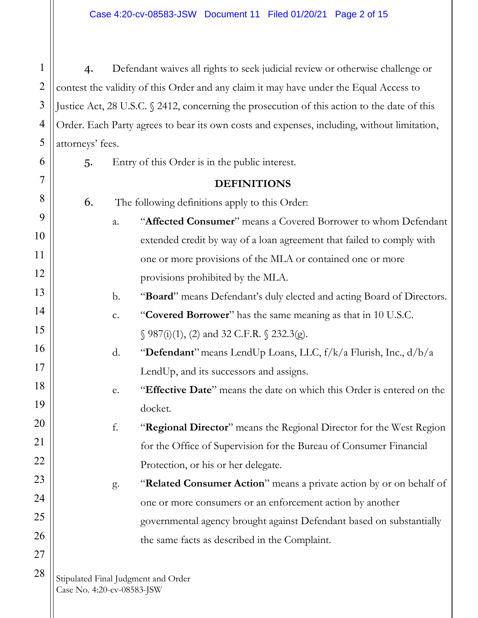4. Defendant waives all rights to seek judicial review or otherwise challenge or contest the validity of this Order and any claim it may have under the Equal Access to Justice Act, 28 U.S.C. § 2412, concerning the prosecution of this action to the date of this Order. Each Party agrees to bear its own costs and expenses, including, without limitation, attorneys' fees.

5. Entry of this Order is in the public interest.

#### **DEFINITIONS**

6. The following definitions apply to this Order:

- a. "**Affected Consumer**" means a Covered Borrower to whom Defendant extended credit by way of a loan agreement that failed to comply with one or more provisions of the MLA or contained one or more provisions prohibited by the MLA.
	- b. "**Board**" means Defendant's duly elected and acting Board of Directors.

# c. "**Covered Borrower**" has the same meaning as that in 10 U.S.C.  $\S$  987(i)(1), (2) and 32 C.F.R.  $\S$  232.3(g).

- d. "**Defendant**"means LendUp Loans, LLC, f/k/a Flurish, Inc., d/b/a LendUp, and its successors and assigns.
- e. "**Effective Date**" means the date on which this Order is entered on the docket.

# f. "**Regional Director**" means the Regional Director for the West Region for the Office of Supervision for the Bureau of Consumer Financial Protection, or his or her delegate.

g. "**Related Consumer Action**" means a private action by or on behalf of one or more consumers or an enforcement action by another governmental agency brought against Defendant based on substantially the same facts as described in the Complaint.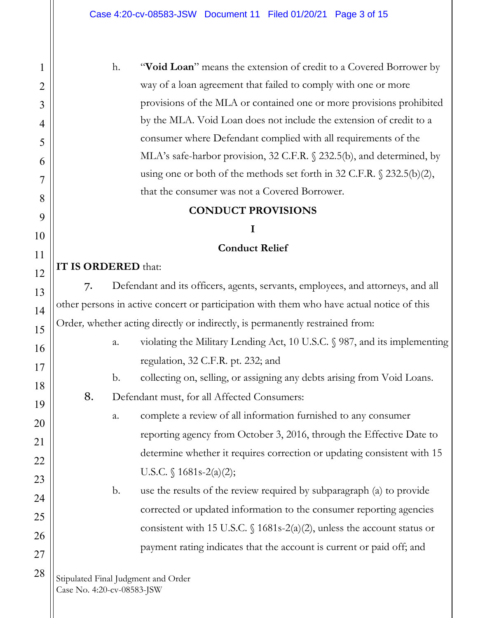h. "**Void Loan**" means the extension of credit to a Covered Borrower by way of a loan agreement that failed to comply with one or more provisions of the MLA or contained one or more provisions prohibited by the MLA. Void Loan does not include the extension of credit to a consumer where Defendant complied with all requirements of the MLA's safe-harbor provision, 32 C.F.R. § 232.5(b), and determined, by using one or both of the methods set forth in 32 C.F.R. § 232.5(b)(2), that the consumer was not a Covered Borrower.

#### **CONDUCT PROVISIONS**

## **I**

#### **Conduct Relief**

# **IT IS ORDERED** that:

7. Defendant and its officers, agents, servants, employees, and attorneys, and all other persons in active concert or participation with them who have actual notice of this Order*,* whether acting directly or indirectly, is permanently restrained from:

- a. violating the Military Lending Act, 10 U.S.C. § 987, and its implementing regulation, 32 C.F.R. pt. 232; and
- b. collecting on, selling, or assigning any debts arising from Void Loans.
- 8. Defendant must, for all Affected Consumers:

a. complete a review of all information furnished to any consumer reporting agency from October 3, 2016, through the Effective Date to determine whether it requires correction or updating consistent with 15 U.S.C.  $\{ 1681s - 2(a)(2);$ 

b. use the results of the review required by subparagraph (a) to provide corrected or updated information to the consumer reporting agencies consistent with 15 U.S.C.  $\{(1681s-2(a)(2)), \text{unless the account status or}\}$ payment rating indicates that the account is current or paid off; and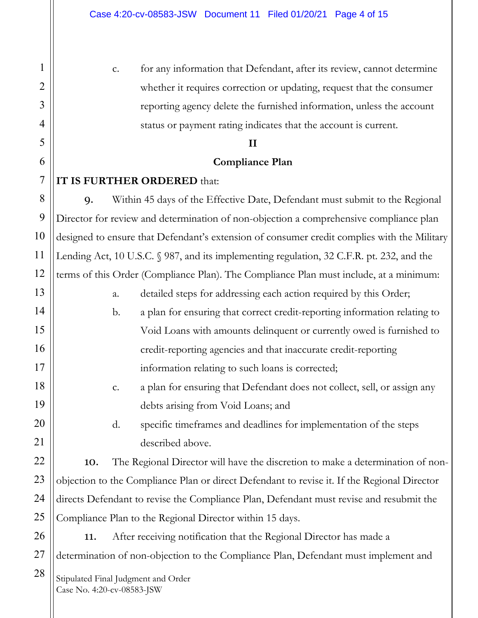c. for any information that Defendant, after its review, cannot determine whether it requires correction or updating, request that the consumer reporting agency delete the furnished information, unless the account status or payment rating indicates that the account is current.

#### **II**

#### **Compliance Plan**

#### **IT IS FURTHER ORDERED** that:

9. Within 45 days of the Effective Date, Defendant must submit to the Regional Director for review and determination of non-objection a comprehensive compliance plan designed to ensure that Defendant's extension of consumer credit complies with the Military Lending Act, 10 U.S.C. § 987, and its implementing regulation, 32 C.F.R. pt. 232, and the terms of this Order (Compliance Plan). The Compliance Plan must include, at a minimum:

- a. detailed steps for addressing each action required by this Order;
- b. a plan for ensuring that correct credit-reporting information relating to Void Loans with amounts delinquent or currently owed is furnished to credit-reporting agencies and that inaccurate credit-reporting information relating to such loans is corrected;
- c. a plan for ensuring that Defendant does not collect, sell, or assign any debts arising from Void Loans; and

d. specific timeframes and deadlines for implementation of the steps described above.

10. The Regional Director will have the discretion to make a determination of nonobjection to the Compliance Plan or direct Defendant to revise it. If the Regional Director directs Defendant to revise the Compliance Plan, Defendant must revise and resubmit the Compliance Plan to the Regional Director within 15 days.

11. After receiving notification that the Regional Director has made a determination of non-objection to the Compliance Plan, Defendant must implement and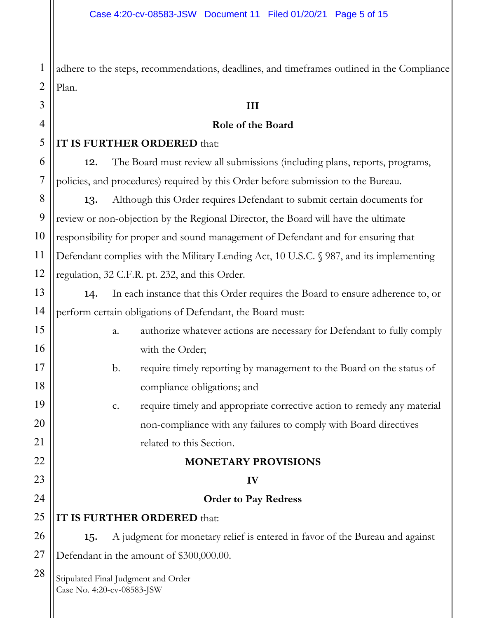1 2 adhere to the steps, recommendations, deadlines, and timeframes outlined in the Compliance Plan.

#### **III**

#### **Role of the Board**

#### 5 **IT IS FURTHER ORDERED** that:

3

4

6

7

8

9

10

11

12

13

14

12. The Board must review all submissions (including plans, reports, programs, policies, and procedures) required by this Order before submission to the Bureau.

13. Although this Order requires Defendant to submit certain documents for review or non-objection by the Regional Director, the Board will have the ultimate responsibility for proper and sound management of Defendant and for ensuring that Defendant complies with the Military Lending Act, 10 U.S.C. § 987, and its implementing regulation, 32 C.F.R. pt. 232, and this Order.

14. In each instance that this Order requires the Board to ensure adherence to, or perform certain obligations of Defendant, the Board must:

| 15 |                                                                   | a. | authorize whatever actions are necessary for Defendant to fully comply       |  |
|----|-------------------------------------------------------------------|----|------------------------------------------------------------------------------|--|
| 16 |                                                                   |    | with the Order;                                                              |  |
| 17 |                                                                   | b. | require timely reporting by management to the Board on the status of         |  |
| 18 |                                                                   |    | compliance obligations; and                                                  |  |
| 19 |                                                                   | c. | require timely and appropriate corrective action to remedy any material      |  |
| 20 |                                                                   |    | non-compliance with any failures to comply with Board directives             |  |
| 21 |                                                                   |    | related to this Section.                                                     |  |
| 22 |                                                                   |    | <b>MONETARY PROVISIONS</b>                                                   |  |
| 23 |                                                                   |    | IV                                                                           |  |
| 24 |                                                                   |    | <b>Order to Pay Redress</b>                                                  |  |
| 25 | IT IS FURTHER ORDERED that:                                       |    |                                                                              |  |
| 26 | 15.                                                               |    | A judgment for monetary relief is entered in favor of the Bureau and against |  |
| 27 | Defendant in the amount of \$300,000.00.                          |    |                                                                              |  |
| 28 | Stipulated Final Judgment and Order<br>Case No. 4:20-cv-08583-JSW |    |                                                                              |  |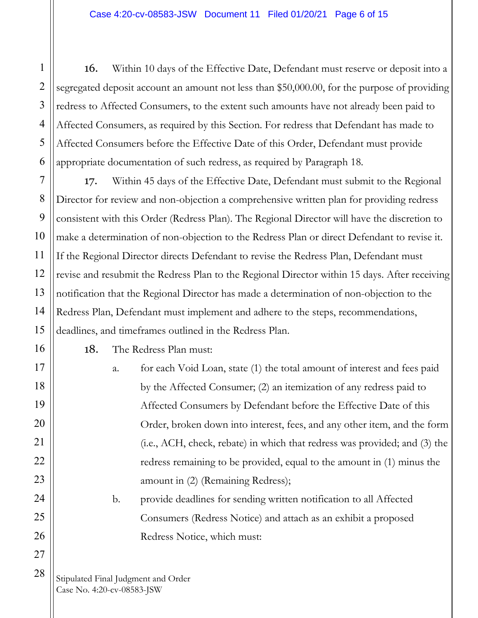16. Within 10 days of the Effective Date, Defendant must reserve or deposit into a segregated deposit account an amount not less than \$50,000.00, for the purpose of providing redress to Affected Consumers, to the extent such amounts have not already been paid to Affected Consumers, as required by this Section. For redress that Defendant has made to Affected Consumers before the Effective Date of this Order, Defendant must provide appropriate documentation of such redress, as required by Paragraph 18.

17. Within 45 days of the Effective Date, Defendant must submit to the Regional Director for review and non-objection a comprehensive written plan for providing redress consistent with this Order (Redress Plan). The Regional Director will have the discretion to make a determination of non-objection to the Redress Plan or direct Defendant to revise it. If the Regional Director directs Defendant to revise the Redress Plan, Defendant must revise and resubmit the Redress Plan to the Regional Director within 15 days. After receiving notification that the Regional Director has made a determination of non-objection to the Redress Plan, Defendant must implement and adhere to the steps, recommendations, deadlines, and timeframes outlined in the Redress Plan.

18. The Redress Plan must:

a. for each Void Loan, state (1) the total amount of interest and fees paid by the Affected Consumer; (2) an itemization of any redress paid to Affected Consumers by Defendant before the Effective Date of this Order, broken down into interest, fees, and any other item, and the form (i.e., ACH, check, rebate) in which that redress was provided; and (3) the redress remaining to be provided, equal to the amount in (1) minus the amount in (2) (Remaining Redress);

b. provide deadlines for sending written notification to all Affected Consumers (Redress Notice) and attach as an exhibit a proposed Redress Notice, which must: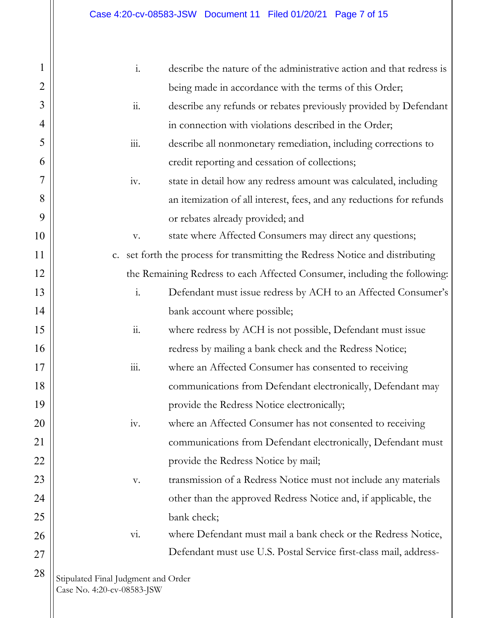| 1              | $\mathbf{i}$ .                                                                | describe the nature of the administrative action and that redress is |  |  |
|----------------|-------------------------------------------------------------------------------|----------------------------------------------------------------------|--|--|
| $\overline{2}$ |                                                                               | being made in accordance with the terms of this Order;               |  |  |
| 3              | $\dddot{\mathbf{1}}$ .                                                        | describe any refunds or rebates previously provided by Defendant     |  |  |
| 4              |                                                                               | in connection with violations described in the Order;                |  |  |
| 5              | $\overline{111}$ .                                                            | describe all nonmonetary remediation, including corrections to       |  |  |
| 6              |                                                                               | credit reporting and cessation of collections;                       |  |  |
| 7              | iv.                                                                           | state in detail how any redress amount was calculated, including     |  |  |
| 8              |                                                                               | an itemization of all interest, fees, and any reductions for refunds |  |  |
| 9              |                                                                               | or rebates already provided; and                                     |  |  |
| 10             | V.                                                                            | state where Affected Consumers may direct any questions;             |  |  |
| 11             | c. set forth the process for transmitting the Redress Notice and distributing |                                                                      |  |  |
| 12             | the Remaining Redress to each Affected Consumer, including the following:     |                                                                      |  |  |
| 13             | $\mathbf{i}$ .                                                                | Defendant must issue redress by ACH to an Affected Consumer's        |  |  |
| 14             |                                                                               | bank account where possible;                                         |  |  |
| 15             | $\dddot{11}$ .                                                                | where redress by ACH is not possible, Defendant must issue           |  |  |
| 16             |                                                                               | redress by mailing a bank check and the Redress Notice;              |  |  |
| 17             | 111.                                                                          | where an Affected Consumer has consented to receiving                |  |  |
| 18             |                                                                               | communications from Defendant electronically, Defendant may          |  |  |
| 19             |                                                                               | provide the Redress Notice electronically;                           |  |  |
| 20             | iv.                                                                           | where an Affected Consumer has not consented to receiving            |  |  |
| 21             |                                                                               | communications from Defendant electronically, Defendant must         |  |  |
| 22             |                                                                               | provide the Redress Notice by mail;                                  |  |  |
| 23             | V.                                                                            | transmission of a Redress Notice must not include any materials      |  |  |
| 24             |                                                                               | other than the approved Redress Notice and, if applicable, the       |  |  |
| 25             |                                                                               | bank check;                                                          |  |  |
| 26             | Vi.                                                                           | where Defendant must mail a bank check or the Redress Notice,        |  |  |
| 27             |                                                                               | Defendant must use U.S. Postal Service first-class mail, address-    |  |  |
| 28             | Stipulated Final Judgment and Order<br>Case No. 4:20-cv-08583-JSW             |                                                                      |  |  |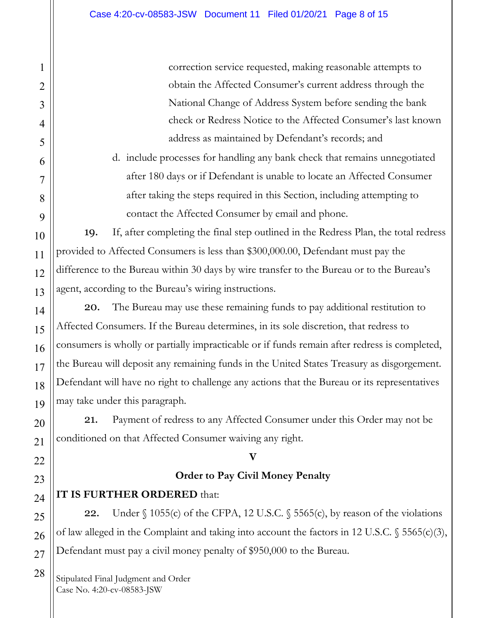correction service requested, making reasonable attempts to obtain the Affected Consumer's current address through the National Change of Address System before sending the bank check or Redress Notice to the Affected Consumer's last known address as maintained by Defendant's records; and

d. include processes for handling any bank check that remains unnegotiated after 180 days or if Defendant is unable to locate an Affected Consumer after taking the steps required in this Section, including attempting to contact the Affected Consumer by email and phone.

19. If, after completing the final step outlined in the Redress Plan, the total redress provided to Affected Consumers is less than \$300,000.00, Defendant must pay the difference to the Bureau within 30 days by wire transfer to the Bureau or to the Bureau's agent, according to the Bureau's wiring instructions.

20. The Bureau may use these remaining funds to pay additional restitution to Affected Consumers. If the Bureau determines, in its sole discretion, that redress to consumers is wholly or partially impracticable or if funds remain after redress is completed, the Bureau will deposit any remaining funds in the United States Treasury as disgorgement. Defendant will have no right to challenge any actions that the Bureau or its representatives may take under this paragraph.

21. Payment of redress to any Affected Consumer under this Order may not be conditioned on that Affected Consumer waiving any right.

#### **V**

### **Order to Pay Civil Money Penalty**

# **IT IS FURTHER ORDERED** that:

22. Under  $\S$  1055(c) of the CFPA, 12 U.S.C.  $\S$  5565(c), by reason of the violations of law alleged in the Complaint and taking into account the factors in 12 U.S.C. § 5565(c)(3), Defendant must pay a civil money penalty of \$950,000 to the Bureau.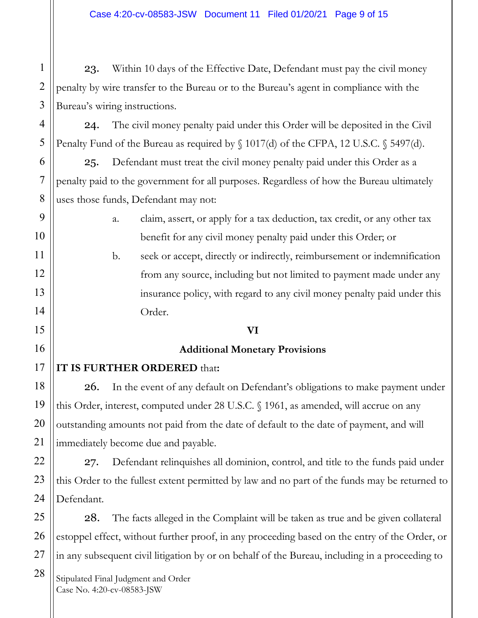23. Within 10 days of the Effective Date, Defendant must pay the civil money penalty by wire transfer to the Bureau or to the Bureau's agent in compliance with the Bureau's wiring instructions.

24. The civil money penalty paid under this Order will be deposited in the Civil Penalty Fund of the Bureau as required by  $\S 1017(d)$  of the CFPA, 12 U.S.C.  $\S 5497(d)$ .

25. Defendant must treat the civil money penalty paid under this Order as a penalty paid to the government for all purposes. Regardless of how the Bureau ultimately uses those funds, Defendant may not:

> a. claim, assert, or apply for a tax deduction, tax credit, or any other tax benefit for any civil money penalty paid under this Order; or

b. seek or accept, directly or indirectly, reimbursement or indemnification from any source, including but not limited to payment made under any insurance policy, with regard to any civil money penalty paid under this Order.

#### **VI**

#### **Additional Monetary Provisions**

### **IT IS FURTHER ORDERED** that**:**

26. In the event of any default on Defendant's obligations to make payment under this Order, interest, computed under 28 U.S.C. § 1961, as amended, will accrue on any outstanding amounts not paid from the date of default to the date of payment, and will immediately become due and payable.

27. Defendant relinquishes all dominion, control, and title to the funds paid under this Order to the fullest extent permitted by law and no part of the funds may be returned to Defendant.

28. The facts alleged in the Complaint will be taken as true and be given collateral estoppel effect, without further proof, in any proceeding based on the entry of the Order, or in any subsequent civil litigation by or on behalf of the Bureau, including in a proceeding to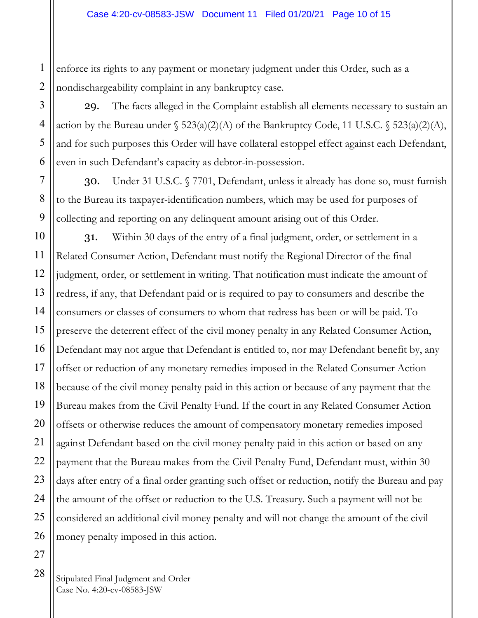1 2 enforce its rights to any payment or monetary judgment under this Order, such as a nondischargeability complaint in any bankruptcy case.

29. The facts alleged in the Complaint establish all elements necessary to sustain an action by the Bureau under  $\S$  523(a)(2)(A) of the Bankruptcy Code, 11 U.S.C.  $\S$  523(a)(2)(A), and for such purposes this Order will have collateral estoppel effect against each Defendant, even in such Defendant's capacity as debtor-in-possession.

30. Under 31 U.S.C. § 7701, Defendant, unless it already has done so, must furnish to the Bureau its taxpayer-identification numbers, which may be used for purposes of collecting and reporting on any delinquent amount arising out of this Order.

31. Within 30 days of the entry of a final judgment, order, or settlement in a Related Consumer Action, Defendant must notify the Regional Director of the final judgment, order, or settlement in writing. That notification must indicate the amount of redress, if any, that Defendant paid or is required to pay to consumers and describe the consumers or classes of consumers to whom that redress has been or will be paid. To preserve the deterrent effect of the civil money penalty in any Related Consumer Action, Defendant may not argue that Defendant is entitled to, nor may Defendant benefit by, any offset or reduction of any monetary remedies imposed in the Related Consumer Action because of the civil money penalty paid in this action or because of any payment that the Bureau makes from the Civil Penalty Fund. If the court in any Related Consumer Action offsets or otherwise reduces the amount of compensatory monetary remedies imposed against Defendant based on the civil money penalty paid in this action or based on any payment that the Bureau makes from the Civil Penalty Fund, Defendant must, within 30 days after entry of a final order granting such offset or reduction, notify the Bureau and pay the amount of the offset or reduction to the U.S. Treasury. Such a payment will not be considered an additional civil money penalty and will not change the amount of the civil money penalty imposed in this action.

3

4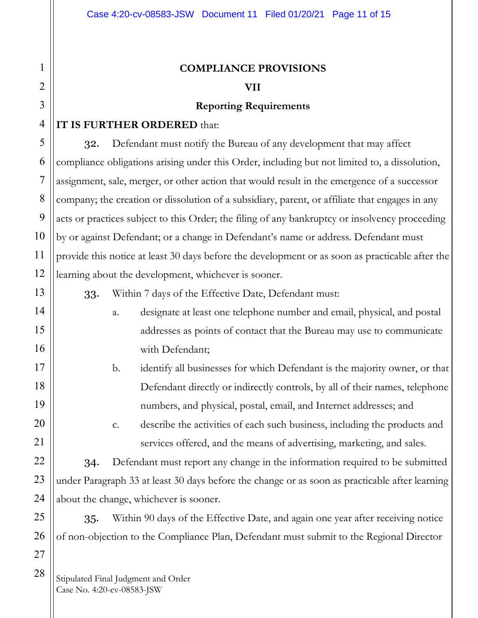# **COMPLIANCE PROVISIONS**

#### **VII**

#### **Reporting Requirements**

## **IT IS FURTHER ORDERED** that:

32. Defendant must notify the Bureau of any development that may affect compliance obligations arising under this Order, including but not limited to, a dissolution, assignment, sale, merger, or other action that would result in the emergence of a successor company; the creation or dissolution of a subsidiary, parent, or affiliate that engages in any acts or practices subject to this Order; the filing of any bankruptcy or insolvency proceeding by or against Defendant; or a change in Defendant's name or address. Defendant must provide this notice at least 30 days before the development or as soon as practicable after the learning about the development, whichever is sooner.

33. Within 7 days of the Effective Date, Defendant must:

- a. designate at least one telephone number and email, physical, and postal addresses as points of contact that the Bureau may use to communicate with Defendant;
- b. identify all businesses for which Defendant is the majority owner, or that Defendant directly or indirectly controls, by all of their names, telephone numbers, and physical, postal, email, and Internet addresses; and
	- c. describe the activities of each such business, including the products and services offered, and the means of advertising, marketing, and sales.

34. Defendant must report any change in the information required to be submitted under Paragraph 33 at least 30 days before the change or as soon as practicable after learning about the change, whichever is sooner.

35. Within 90 days of the Effective Date, and again one year after receiving notice of non-objection to the Compliance Plan, Defendant must submit to the Regional Director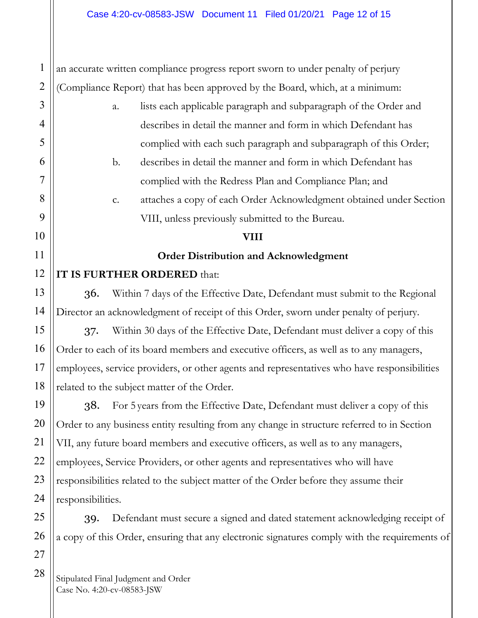an accurate written compliance progress report sworn to under penalty of perjury (Compliance Report) that has been approved by the Board, which, at a minimum:

a. lists each applicable paragraph and subparagraph of the Order and describes in detail the manner and form in which Defendant has complied with each such paragraph and subparagraph of this Order; b. describes in detail the manner and form in which Defendant has complied with the Redress Plan and Compliance Plan; and c. attaches a copy of each Order Acknowledgment obtained under Section VIII, unless previously submitted to the Bureau. **VIII Order Distribution and Acknowledgment IT IS FURTHER ORDERED** that: 36. Within 7 days of the Effective Date, Defendant must submit to the Regional Director an acknowledgment of receipt of this Order, sworn under penalty of perjury.

37. Within 30 days of the Effective Date, Defendant must deliver a copy of this Order to each of its board members and executive officers, as well as to any managers, employees, service providers, or other agents and representatives who have responsibilities related to the subject matter of the Order.

38. For 5 years from the Effective Date, Defendant must deliver a copy of this Order to any business entity resulting from any change in structure referred to in Section VII, any future board members and executive officers, as well as to any managers, employees, Service Providers, or other agents and representatives who will have responsibilities related to the subject matter of the Order before they assume their responsibilities.

39. Defendant must secure a signed and dated statement acknowledging receipt of a copy of this Order, ensuring that any electronic signatures comply with the requirements of

Stipulated Final Judgment and Order Case No. 4:20-cv-08583-JSW

1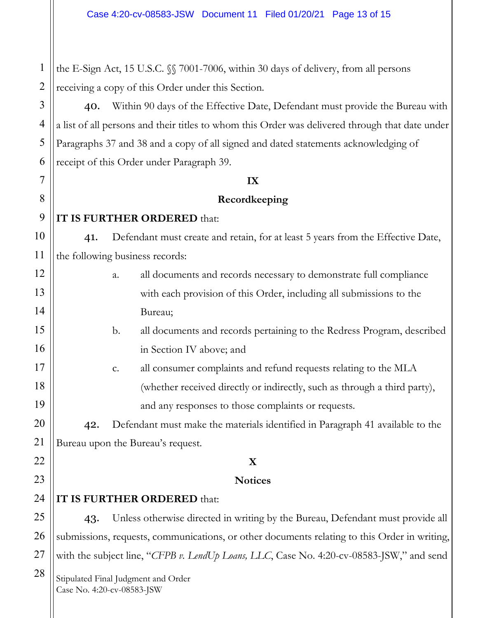1 the E-Sign Act, 15 U.S.C. §§ 7001-7006, within 30 days of delivery, from all persons receiving a copy of this Order under this Section.

40. Within 90 days of the Effective Date, Defendant must provide the Bureau with a list of all persons and their titles to whom this Order was delivered through that date under Paragraphs 37 and 38 and a copy of all signed and dated statements acknowledging of receipt of this Order under Paragraph 39.

#### **IX**

### **Recordkeeping**

# **IT IS FURTHER ORDERED** that:

41. Defendant must create and retain, for at least 5 years from the Effective Date, the following business records:

- a. all documents and records necessary to demonstrate full compliance with each provision of this Order, including all submissions to the Bureau;
- b. all documents and records pertaining to the Redress Program, described in Section IV above; and
- c. all consumer complaints and refund requests relating to the MLA (whether received directly or indirectly, such as through a third party), and any responses to those complaints or requests.

42. Defendant must make the materials identified in Paragraph 41 available to the Bureau upon the Bureau's request.

# **X**

### **Notices**

# **IT IS FURTHER ORDERED** that:

43. Unless otherwise directed in writing by the Bureau, Defendant must provide all submissions, requests, communications, or other documents relating to this Order in writing, with the subject line, "*CFPB v. LendUp Loans, LLC*, Case No. 4:20-cv-08583-JSW," and send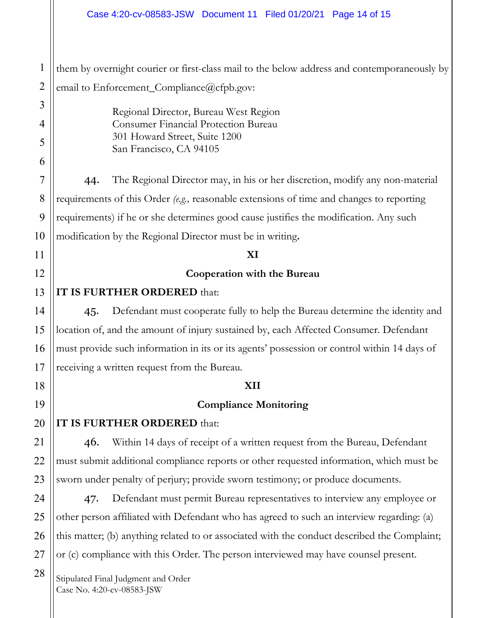#### Case 4:20-cv-08583-JSW Document 11 Filed 01/20/21 Page 14 of 15

them by overnight courier or first-class mail to the below address and contemporaneously by email to Enforcement\_Compliance@cfpb.gov:

> Regional Director, Bureau West Region Consumer Financial Protection Bureau 301 Howard Street, Suite 1200 San Francisco, CA 94105

44. The Regional Director may, in his or her discretion, modify any non-material requirements of this Order *(e.g.,* reasonable extensions of time and changes to reporting requirements) if he or she determines good cause justifies the modification. Any such modification by the Regional Director must be in writing**.**

#### **XI**

#### **Cooperation with the Bureau**

#### **IT IS FURTHER ORDERED** that:

45. Defendant must cooperate fully to help the Bureau determine the identity and location of, and the amount of injury sustained by, each Affected Consumer. Defendant must provide such information in its or its agents' possession or control within 14 days of receiving a written request from the Bureau.

#### **XII**

#### **Compliance Monitoring**

#### **IT IS FURTHER ORDERED** that:

46. Within 14 days of receipt of a written request from the Bureau, Defendant must submit additional compliance reports or other requested information, which must be sworn under penalty of perjury; provide sworn testimony; or produce documents.

47. Defendant must permit Bureau representatives to interview any employee or other person affiliated with Defendant who has agreed to such an interview regarding: (a) this matter; (b) anything related to or associated with the conduct described the Complaint; or (c) compliance with this Order. The person interviewed may have counsel present.